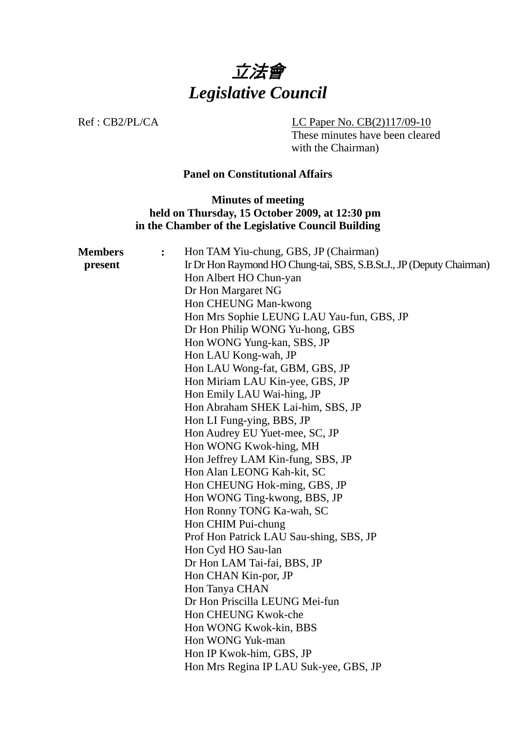

Ref : CB2/PL/CA LC Paper No. CB(2)117/09-10

These minutes have been cleared with the Chairman)

#### **Panel on Constitutional Affairs**

### **Minutes of meeting held on Thursday, 15 October 2009, at 12:30 pm in the Chamber of the Legislative Council Building**

| <b>Members</b> | : | Hon TAM Yiu-chung, GBS, JP (Chairman)                                |
|----------------|---|----------------------------------------------------------------------|
| present        |   | Ir Dr Hon Raymond HO Chung-tai, SBS, S.B.St.J., JP (Deputy Chairman) |
|                |   | Hon Albert HO Chun-yan                                               |
|                |   | Dr Hon Margaret NG                                                   |
|                |   | Hon CHEUNG Man-kwong                                                 |
|                |   | Hon Mrs Sophie LEUNG LAU Yau-fun, GBS, JP                            |
|                |   | Dr Hon Philip WONG Yu-hong, GBS                                      |
|                |   | Hon WONG Yung-kan, SBS, JP                                           |
|                |   | Hon LAU Kong-wah, JP                                                 |
|                |   | Hon LAU Wong-fat, GBM, GBS, JP                                       |
|                |   | Hon Miriam LAU Kin-yee, GBS, JP                                      |
|                |   | Hon Emily LAU Wai-hing, JP                                           |
|                |   | Hon Abraham SHEK Lai-him, SBS, JP                                    |
|                |   | Hon LI Fung-ying, BBS, JP                                            |
|                |   | Hon Audrey EU Yuet-mee, SC, JP                                       |
|                |   | Hon WONG Kwok-hing, MH                                               |
|                |   | Hon Jeffrey LAM Kin-fung, SBS, JP                                    |
|                |   | Hon Alan LEONG Kah-kit, SC                                           |
|                |   | Hon CHEUNG Hok-ming, GBS, JP                                         |
|                |   | Hon WONG Ting-kwong, BBS, JP                                         |
|                |   | Hon Ronny TONG Ka-wah, SC                                            |
|                |   | Hon CHIM Pui-chung                                                   |
|                |   | Prof Hon Patrick LAU Sau-shing, SBS, JP                              |
|                |   | Hon Cyd HO Sau-lan                                                   |
|                |   | Dr Hon LAM Tai-fai, BBS, JP                                          |
|                |   | Hon CHAN Kin-por, JP                                                 |
|                |   | Hon Tanya CHAN                                                       |
|                |   | Dr Hon Priscilla LEUNG Mei-fun                                       |
|                |   | Hon CHEUNG Kwok-che                                                  |
|                |   | Hon WONG Kwok-kin, BBS                                               |
|                |   | Hon WONG Yuk-man                                                     |
|                |   | Hon IP Kwok-him, GBS, JP                                             |
|                |   | Hon Mrs Regina IP LAU Suk-yee, GBS, JP                               |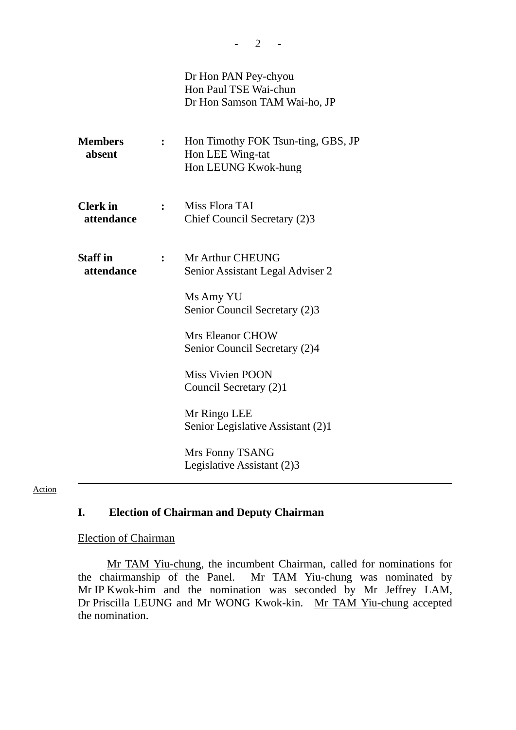|                               |   | Dr Hon PAN Pey-chyou<br>Hon Paul TSE Wai-chun<br>Dr Hon Samson TAM Wai-ho, JP |
|-------------------------------|---|-------------------------------------------------------------------------------|
| <b>Members</b><br>absent      |   | Hon Timothy FOK Tsun-ting, GBS, JP<br>Hon LEE Wing-tat<br>Hon LEUNG Kwok-hung |
| <b>Clerk</b> in<br>attendance | : | Miss Flora TAI<br>Chief Council Secretary (2)3                                |
| <b>Staff</b> in<br>attendance |   | Mr Arthur CHEUNG<br>Senior Assistant Legal Adviser 2                          |
|                               |   | Ms Amy YU<br>Senior Council Secretary (2)3                                    |
|                               |   | <b>Mrs Eleanor CHOW</b><br>Senior Council Secretary (2)4                      |
|                               |   | <b>Miss Vivien POON</b><br>Council Secretary (2)1                             |
|                               |   | Mr Ringo LEE<br>Senior Legislative Assistant (2)1                             |
|                               |   | Mrs Fonny TSANG<br>Legislative Assistant (2)3                                 |

#### Action

### **I. Election of Chairman and Deputy Chairman**

#### Election of Chairman

Mr TAM Yiu-chung, the incumbent Chairman, called for nominations for the chairmanship of the Panel. Mr TAM Yiu-chung was nominated by Mr IP Kwok-him and the nomination was seconded by Mr Jeffrey LAM, Dr Priscilla LEUNG and Mr WONG Kwok-kin. Mr TAM Yiu-chung accepted the nomination.

 $- 2 - 1$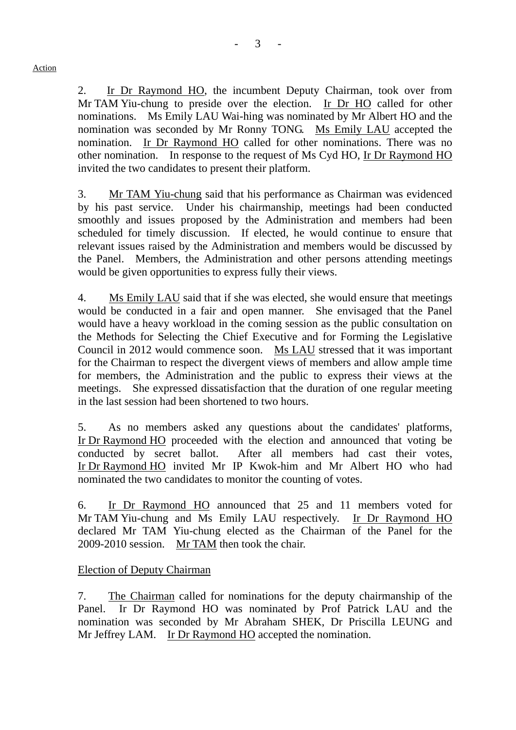2. Ir Dr Raymond HO, the incumbent Deputy Chairman, took over from Mr TAM Yiu-chung to preside over the election. Ir Dr HO called for other nominations. Ms Emily LAU Wai-hing was nominated by Mr Albert HO and the nomination was seconded by Mr Ronny TONG. Ms Emily LAU accepted the nomination. Ir Dr Raymond HO called for other nominations. There was no other nomination. In response to the request of Ms Cyd HO, Ir Dr Raymond HO invited the two candidates to present their platform.

3. Mr TAM Yiu-chung said that his performance as Chairman was evidenced by his past service. Under his chairmanship, meetings had been conducted smoothly and issues proposed by the Administration and members had been scheduled for timely discussion. If elected, he would continue to ensure that relevant issues raised by the Administration and members would be discussed by the Panel. Members, the Administration and other persons attending meetings would be given opportunities to express fully their views.

4. Ms Emily LAU said that if she was elected, she would ensure that meetings would be conducted in a fair and open manner. She envisaged that the Panel would have a heavy workload in the coming session as the public consultation on the Methods for Selecting the Chief Executive and for Forming the Legislative Council in 2012 would commence soon. Ms LAU stressed that it was important for the Chairman to respect the divergent views of members and allow ample time for members, the Administration and the public to express their views at the meetings. She expressed dissatisfaction that the duration of one regular meeting in the last session had been shortened to two hours.

5. As no members asked any questions about the candidates' platforms, Ir Dr Raymond HO proceeded with the election and announced that voting be conducted by secret ballot. After all members had cast their votes, Ir Dr Raymond HO invited Mr IP Kwok-him and Mr Albert HO who had nominated the two candidates to monitor the counting of votes.

6. Ir Dr Raymond HO announced that 25 and 11 members voted for Mr TAM Yiu-chung and Ms Emily LAU respectively. Ir Dr Raymond HO declared Mr TAM Yiu-chung elected as the Chairman of the Panel for the 2009-2010 session. Mr TAM then took the chair.

### Election of Deputy Chairman

7. The Chairman called for nominations for the deputy chairmanship of the Panel. Ir Dr Raymond HO was nominated by Prof Patrick LAU and the nomination was seconded by Mr Abraham SHEK, Dr Priscilla LEUNG and Mr Jeffrey LAM. Ir Dr Raymond HO accepted the nomination.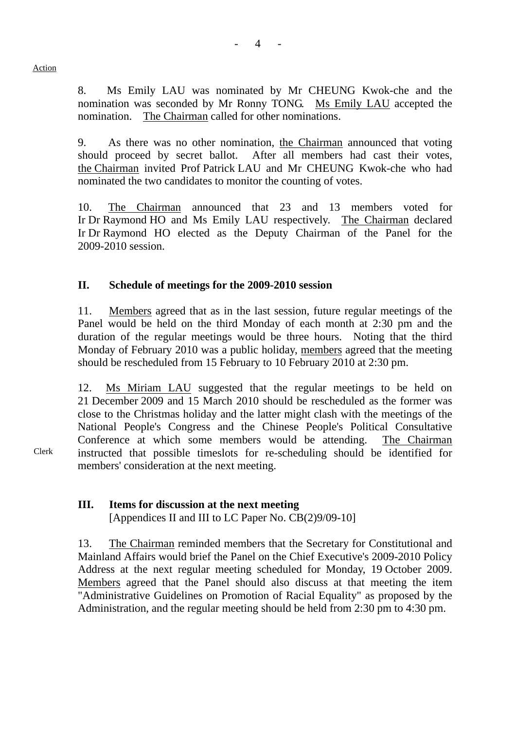8. Ms Emily LAU was nominated by Mr CHEUNG Kwok-che and the nomination was seconded by Mr Ronny TONG. Ms Emily LAU accepted the nomination. The Chairman called for other nominations.

9. As there was no other nomination, the Chairman announced that voting should proceed by secret ballot. After all members had cast their votes, the Chairman invited Prof Patrick LAU and Mr CHEUNG Kwok-che who had nominated the two candidates to monitor the counting of votes.

10. The Chairman announced that 23 and 13 members voted for Ir Dr Raymond HO and Ms Emily LAU respectively. The Chairman declared Ir Dr Raymond HO elected as the Deputy Chairman of the Panel for the 2009-2010 session.

## **II. Schedule of meetings for the 2009-2010 session**

11. Members agreed that as in the last session, future regular meetings of the Panel would be held on the third Monday of each month at 2:30 pm and the duration of the regular meetings would be three hours. Noting that the third Monday of February 2010 was a public holiday, members agreed that the meeting should be rescheduled from 15 February to 10 February 2010 at 2:30 pm.

12. Ms Miriam LAU suggested that the regular meetings to be held on 21 December 2009 and 15 March 2010 should be rescheduled as the former was close to the Christmas holiday and the latter might clash with the meetings of the National People's Congress and the Chinese People's Political Consultative Conference at which some members would be attending. The Chairman instructed that possible timeslots for re-scheduling should be identified for members' consideration at the next meeting.

## **III. Items for discussion at the next meeting**

[Appendices II and III to LC Paper No. CB(2)9/09-10]

13. The Chairman reminded members that the Secretary for Constitutional and Mainland Affairs would brief the Panel on the Chief Executive's 2009-2010 Policy Address at the next regular meeting scheduled for Monday, 19 October 2009. Members agreed that the Panel should also discuss at that meeting the item "Administrative Guidelines on Promotion of Racial Equality" as proposed by the Administration, and the regular meeting should be held from 2:30 pm to 4:30 pm.

Clerk